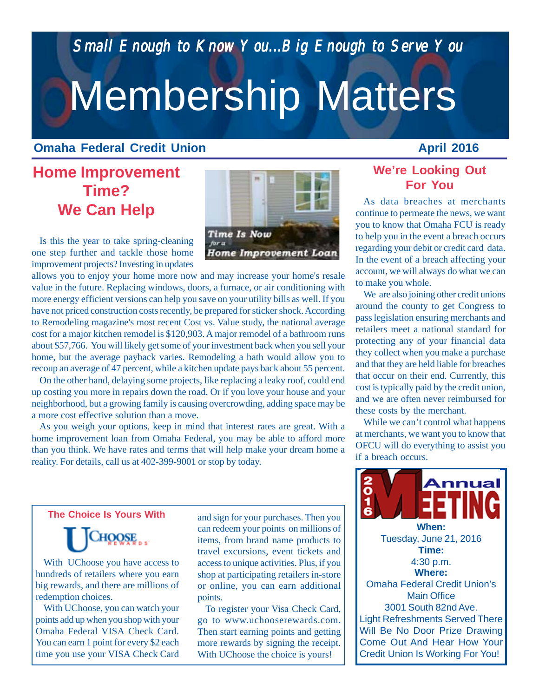*Small Enough to Know You...Big Enough to Serve You Small Enough to Know Enough to Serve You*

# Membership Matters

## **Omaha Federal Credit Union**

## **Home Improvement Time? We Can Help**

Is this the year to take spring-cleaning one step further and tackle those home improvement projects? Investing in updates

allows you to enjoy your home more now and may increase your home's resale value in the future. Replacing windows, doors, a furnace, or air conditioning with more energy efficient versions can help you save on your utility bills as well. If you have not priced construction costs recently, be prepared for sticker shock. According to Remodeling magazine's most recent Cost vs. Value study, the national average cost for a major kitchen remodel is \$120,903. A major remodel of a bathroom runs about \$57,766. You will likely get some of your investment back when you sell your home, but the average payback varies. Remodeling a bath would allow you to recoup an average of 47 percent, while a kitchen update pays back about 55 percent.

On the other hand, delaying some projects, like replacing a leaky roof, could end up costing you more in repairs down the road. Or if you love your house and your neighborhood, but a growing family is causing overcrowding, adding space may be a more cost effective solution than a move.

As you weigh your options, keep in mind that interest rates are great. With a home improvement loan from Omaha Federal, you may be able to afford more than you think. We have rates and terms that will help make your dream home a reality. For details, call us at 402-399-9001 or stop by today.

### **The Choice Is Yours With**

CHOOSE

With UChoose you have access to hundreds of retailers where you earn big rewards, and there are millions of redemption choices.

With UChoose, you can watch your points add up when you shop with your Omaha Federal VISA Check Card. You can earn 1 point for every \$2 each time you use your VISA Check Card

*Gift Giving The Easy* access to unique activities. Plus, if you shop at participating retailers in-store and sign for your purchases. Then you can redeem your points on millions of items, from brand name products to travel excursions, event tickets and or online, you can earn additional points.

To register your Visa Check Card, go to www.uchooserewards.com. Then start earning points and getting more rewards by signing the receipt. With UChoose the choice is yours!

## **We're Looking Out For You**

As data breaches at merchants continue to permeate the news, we want you to know that Omaha FCU is ready to help you in the event a breach occurs regarding your debit or credit card data. In the event of a breach affecting your account, we will always do what we can to make you whole.

We are also joining other credit unions around the county to get Congress to pass legislation ensuring merchants and retailers meet a national standard for protecting any of your financial data they collect when you make a purchase and that they are held liable for breaches that occur on their end. Currently, this cost is typically paid by the credit union, and we are often never reimbursed for these costs by the merchant.

While we can't control what happens at merchants, we want you to know that OFCU will do everything to assist you if a breach occurs.

**Time:** 4:30 p.m. Light Refreshments Served There Will Be No Door Prize Drawing Come Out And Hear How Your Credit Union Is Working For You! **Where:** Omaha Federal Credit Union's Main Office 3001 South 82nd Ave.

**When:** Tuesday, June 21, 2016

**Annual** 

AAC03WIN15C[2].gif



**April 2016**